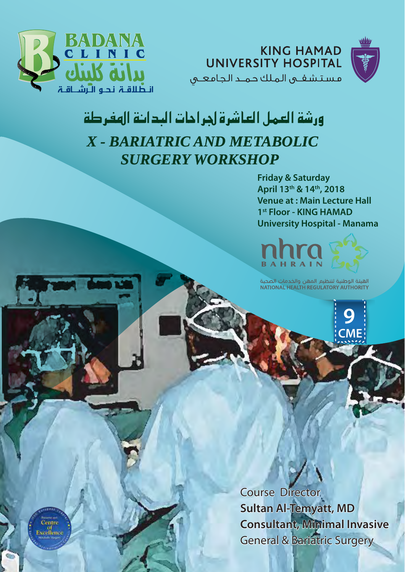

**KING HAMAD UNIVERSITY HOSPITAL** مستشفى الملك حمد الجامعى



# ورشة العمل العاشرة لجراحات البدائة الهفرطة X - BARIATRIC AND METABOLIC **SURGERY WORKSHOP**

**Friday & Saturday** April 13th & 14th, 2018 **Venue at: Main Lecture Hall** 1st Floor - KING HAMAD **University Hospital - Manama** 



الهيئة الوطنية لتنظيم المهن والخدمات الصحية<br>NATIONAL HEALTH REGULATORY AUTHORITY

**CMF** 

**Course Director Sultan Al-Temyatt, MD Consultant, Minimal Invasive General & Bariatric Surgery** 

Centre of<br>Excellence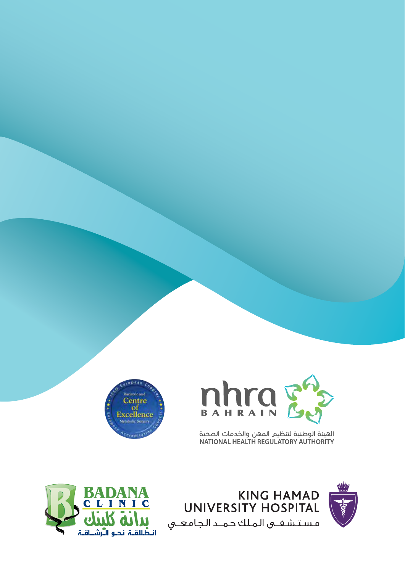



الهيئة الوطنية لتنظيم المهن والخدمات الصحية<br>NATIONAL HEALTH REGULATORY AUTHORITY





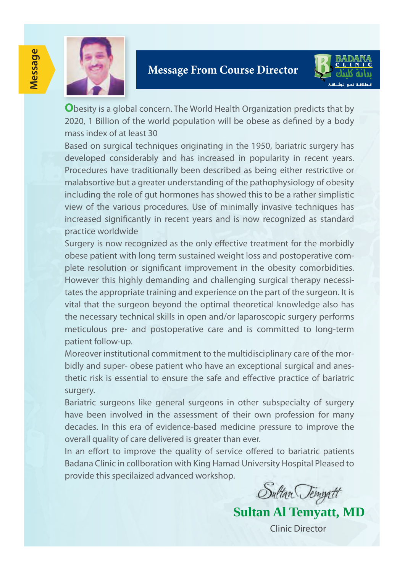

### **Message From Course Director**



**O**besity is a global concern. The World Health Organization predicts that by 2020, 1 Billion of the world population will be obese as defined by a body mass index of at least 30

Based on surgical techniques originating in the 1950, bariatric surgery has developed considerably and has increased in popularity in recent years. Procedures have traditionally been described as being either restrictive or malabsortive but a greater understanding of the pathophysiology of obesity including the role of gut hormones has showed this to be a rather simplistic view of the various procedures. Use of minimally invasive techniques has increased significantly in recent years and is now recognized as standard practice worldwide

Surgery is now recognized as the only effective treatment for the morbidly obese patient with long term sustained weight loss and postoperative complete resolution or significant improvement in the obesity comorbidities. However this highly demanding and challenging surgical therapy necessitates the appropriate training and experience on the part of the surgeon. It is vital that the surgeon beyond the optimal theoretical knowledge also has the necessary technical skills in open and/or laparoscopic surgery performs meticulous pre- and postoperative care and is committed to long-term patient follow-up.

Moreover institutional commitment to the multidisciplinary care of the morbidly and super- obese patient who have an exceptional surgical and anesthetic risk is essential to ensure the safe and effective practice of bariatric surgery.

Bariatric surgeons like general surgeons in other subspecialty of surgery have been involved in the assessment of their own profession for many decades. In this era of evidence-based medicine pressure to improve the overall quality of care delivered is greater than ever.

In an effort to improve the quality of service offered to bariatric patients Badana Clinic in collboration with King Hamad University Hospital Pleased to provide this specilaized advanced workshop.

Sultan Tempatt

**Sultan Al Temyatt, MD**

Clinic Director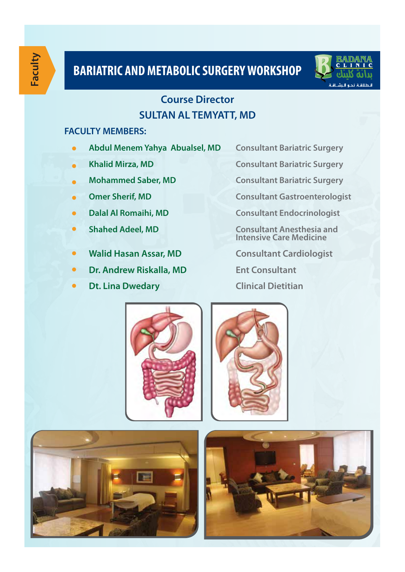

### **Course Director SULTAN AL TEMYATT, MD**

#### **FACULTY MEMBERS:**

- **Abdul Menem Yahya Abualsel, MD Consultant Bariatric Surgery**
- 
- 
- 
- 
- 
- **Walid Hasan Assar, MD Consultant Cardiologist**
- **Dr. Andrew Riskalla, MD Ent Consultant**
- **Dt. Lina Dwedary Clinical Dietitian**

**• Khalid Mirza, MD Consultant Bariatric Surgery** 

 **Mohammed Saber, MD Consultant Bariatric Surgery**

**• Omer Sherif, MD Consultant Gastroenterologist** 

**• Dalal Al Romaihi, MD Consultant Endocrinologist** 

**• Shahed Adeel, MD Consultant Anesthesia and Consultant Anesthesia and Intensive Care Medicine** 







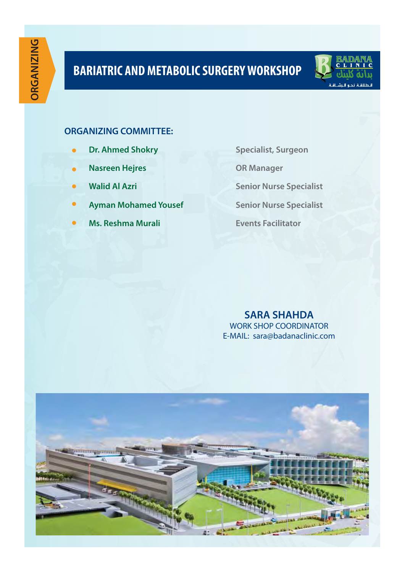

### **ORGANIZING COMMITTEE:**

- **Dr. Ahmed Shokry Specialist, Surgeon** *Specialist***, Surgeon**
- **Nasreen Hejres OR Manager**
- 
- **Ayman Mohamed Yousef Senior Nurse Specialist**
- **Ms. Reshma Murali Events Facilitator**

 **Walid Al Azri Senior Nurse Specialist** 

**SARA SHAHDA** WORK SHOP COORDINATOR E-MAIL: sara@badanaclinic.com

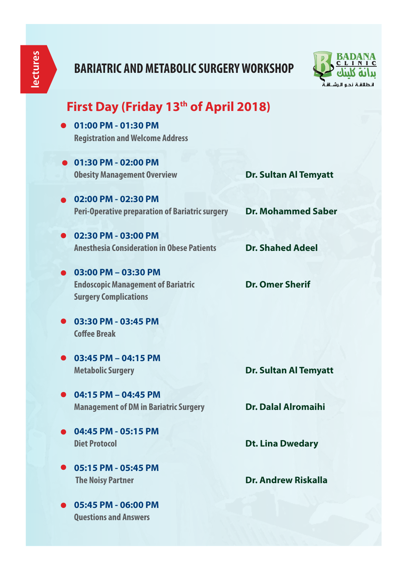

### **First Day (Friday 13th of April 2018)**

- **01:00 PM 01:30 PM Registration and Welcome Address**
- **01:30 PM 02:00 PM Obesity Management Overview** Dr. Sultan Al Temyatt
- **02:00 PM 02:30 PM Peri-Operative preparation of Bariatric surgery Dr. Mohammed Saber**
- **02:30 PM 03:00 PM Anesthesia Consideration in Obese Patients Dr. Shahed Adeel**
- **03:00 PM 03:30 PM Endoscopic Management of Bariatric <b>Pr. Omer Sherif Surgery Complications**

- **03:30 PM 03:45 PM Coffee Break**
- **03:45 PM 04:15 PM**

**Metabolic Surgery Dr. Sultan Al Temyatt** 

- **04:15 PM 04:45 PM Management of DM in Bariatric Surgery Dr. Dalal Alromaihi**
- **04:45 PM 05:15 PM**
- **Diet Protocol Dt. Lina Dwedary**
- **05:15 PM 05:45 PM The Noisy Partner**<br> **Dr. Andrew Riskalla**
- **05:45 PM 06:00 PM Questions and Answers**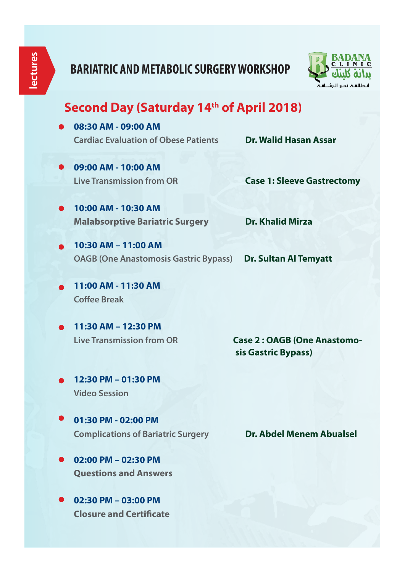

### Second Day (Saturday 14<sup>th</sup> of April 2018)

- **08:30 AM 09:00 AM Cardiac Evaluation of Obese Patients Dr. Walid Hasan Assar**
- **09:00 AM 10:00 AM**

**Live Transmission from OR Case 1: Sleeve Gastrectomy**

- **10:00 AM 10:30 AM Malabsorptive Bariatric Surgery Dr. Khalid Mirza**
	- **10:30 AM 11:00 AM OAGB (One Anastomosis Gastric Bypass) Dr. Sultan Al Temyatt**
- **11:00 AM 11:30 AM Coffee Break**
- **11:30 AM 12:30 PM**

**Live Transmission from OR Case 2 : OAGB (One Anastomo sis Gastric Bypass)**

- **12:30 PM 01:30 PM Video Session**
- **01:30 PM 02:00 PM Complications of Bariatric Surgery <b>Dr. Abdel Menem Abualsel**
- **02:00 PM 02:30 PM Questions and Answers**
- **02:30 PM 03:00 PM Closure and Certificate**